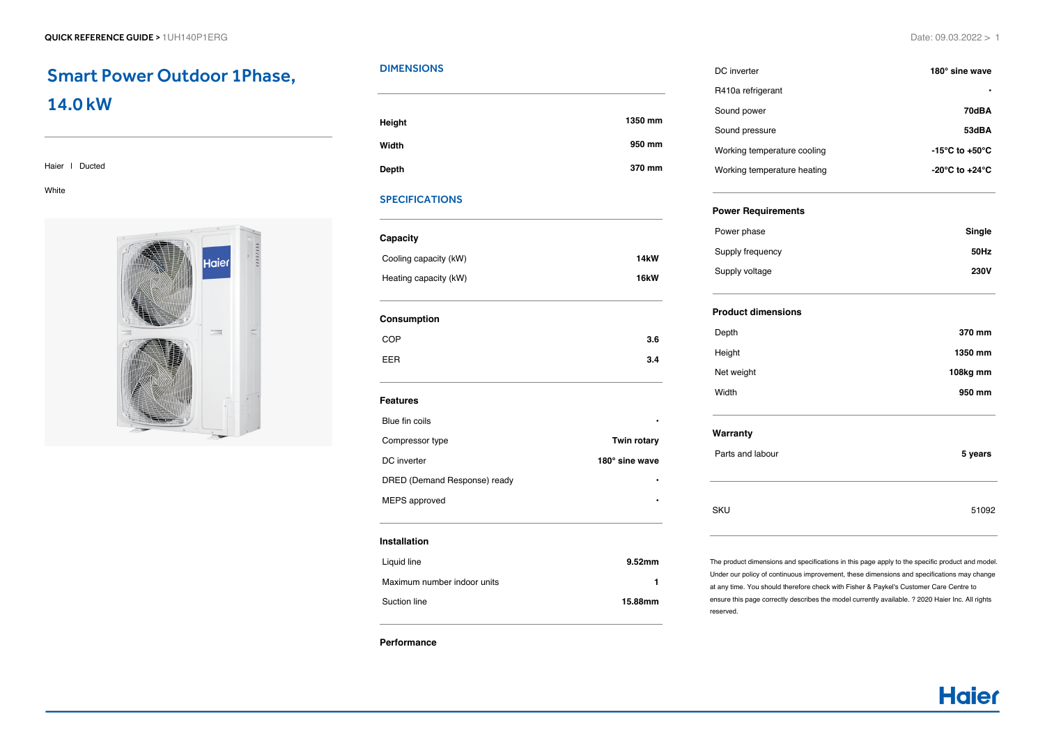## Smart Power Outdoor 1Phase, 14.0 kW

#### Haier | Ducted

White



## **DIMENSIONS**

| Height | 1350 mm |
|--------|---------|
| Width  | 950 mm  |
| Depth  | 370 mm  |

## SPECIFICATIONS

| Capacity              |                   |
|-----------------------|-------------------|
| Cooling capacity (kW) | 14 <sub>k</sub> W |
| Heating capacity (kW) | <b>16kW</b>       |
|                       |                   |

#### **Consumption**

| <b>COP</b> |  | 3.6 |
|------------|--|-----|
| <b>EER</b> |  | 3.4 |

#### **Features**

| <b>Twin rotary</b> |
|--------------------|
| 180° sine wave     |
| ٠                  |
| ٠                  |
|                    |

#### **Installation**

| Liquid line                 | 9.52 <sub>mm</sub> |
|-----------------------------|--------------------|
| Maximum number indoor units |                    |
| Suction line                | 15.88mm            |

#### **Performance**

| DC inverter                 | 180° sine wave                       |
|-----------------------------|--------------------------------------|
| R410a refrigerant           | ٠                                    |
| Sound power                 | 70dBA                                |
| Sound pressure              | 53dBA                                |
| Working temperature cooling | $-15^{\circ}$ C to $+50^{\circ}$ C   |
| Working temperature heating | -20 $^{\circ}$ C to +24 $^{\circ}$ C |

### **Power Requirements**

| Power phase      | Single      |
|------------------|-------------|
| Supply frequency | 50Hz        |
| Supply voltage   | <b>230V</b> |

## **Product dimensions**

| Depth      | 370 mm   |
|------------|----------|
| Height     | 1350 mm  |
| Net weight | 108kg mm |
| Width      | 950 mm   |

## **Warranty**

| Parts and labour | 5 years |
|------------------|---------|
| <b>SKU</b>       | 51092   |

The product dimensions and specifications in this page apply to the specific product and model. Under our policy of continuous improvement, these dimensions and specifications may change at any time. You should therefore check with Fisher & Paykel's Customer Care Centre to ensure this page correctly describes the model currently available. ? 2020 Haier Inc. All rights reserved.